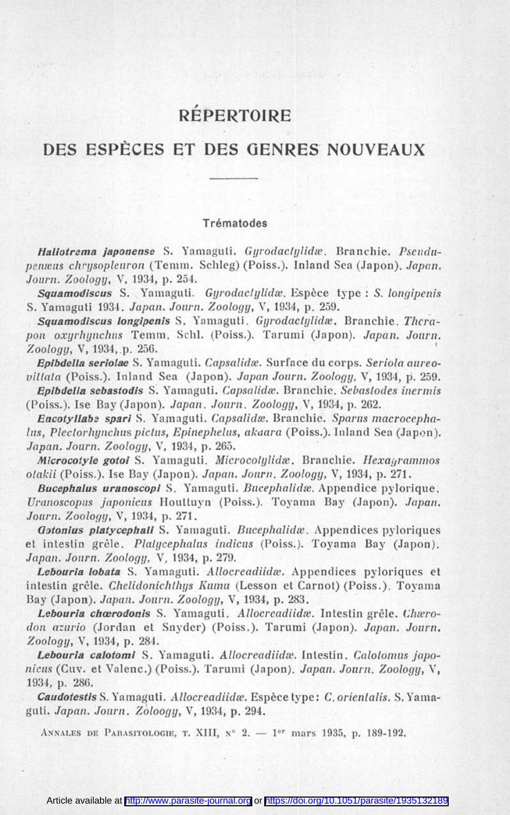# **RÉPERTOIRE**

## **DES ESPÈCES ET DES GENRES NOUVEAUX**

#### Trématodes

*Haliotrema japonense* S. Yamaguti. *Gyrodaclylidæ.* Branchie. *Pseudupenæus chrysopleuron* (Temm. Schleg) (Poiss.). Inland Sea (Japon). *Japan. Journ. Zoology,* V, 1934, p. 254.

*Squamodiscus* S. Yamaguti. *Gyrodactylidæ.* Espèce type : S. *longipenis* S. Yamaguti 1934. *Japan. Journ. Zoology,* V, 1934, p. 259.

*Squamodiscus longipenis* S. Yamaguti. *Gyrodaclylidæ.* Branchie. *Therapon oxyrhynchus* Temm. Schl. (Poiss.). Tarumi (Japon). *Japan. Journ. Zoology,* V, 1934, p. 256.

*Epibdella seriolae* S. Yamaguti. *Capsalldæ.* Surface du corps. *Seriola aureovittata* (Poiss.). Inland Sea (Japon). *Japan Journ. Zoology,* V, 1934, p. 259.

*Epibdella sebastodis* S. Yamaguti. *Capsalidæ.* Branchie. *Sebastodes inermis* (Poiss.). Ise Bay (Japon). *Japan. Journ. Zoology,* V, 1934, p. 262.

*Encotyllabe spari* S. Yamaguti. *Capsalidæ.* Branchie. *Sparus macrocephalus, Plectorhynchus pictus, Epinephelus, akaara* (Poiss.). Inland Sea (Japon). *Japan. Journ. Zoology,* V, 1934, p. 265.

*Microcotyle gotoi* S. Yamaguti. *Microcolylidæ.* Branchie. *Hexagrammos olakii* (Poiss.). Ise Bay (Japon). *Japan. Journ. Zoology,* V, 1934, p. 271.

*Bucephalus uranoscopi* S. Yamaguti. *Bucephalidæ.* Appendice pylorique. *Uranoscopus japonicus* Houttuyn (Poiss.). Toyama Bay (Japon). *Japan. Journ. Zoology,* V, 1934, p. 271.

*Gotonius platycephali* S. Yamaguti. *Bucephalidæ.* Appendices pyloriques et intestin grêle. *Plalycephalus indicus* (Poiss.). Toyama Bay (Japon). *Japan. Journ. Zoology,* V, 1934, p. 279.

*Lebouria lobata* S. Yamaguti. *Allocreadiidæ.* Appendices pyloriques et intestin grêle. *Chelidonichthys Kumu* (Lesson et Carnot) (Poiss.). Toyama Bay (Japon). *Japan. Journ. Zoology,* V, 1934, p. 283.

*Lebouria chœrodonis* S. Yamaguti. *Allocreadiidæ.* Intestin grêle. *Chærodon azurio* (Jordan et Snyder) (Poiss.). Tarumi (Japon). *Japan. Journ. Zoology,* V, 1934, p. 284.

*Lebouria calotomi* S. Yamaguti. *Allocreadiidæ.* Intestin. *Calotomus japonicus* (Cuv. et Valenc.) (Poiss.). Tarumi (Japon). *Japan. Journ. Zoology,* Y, 1934, p. 286.

*Caudotestis* S. Yamaguti. *Allocreadiidæ.* Espèce type : *C. orientalis.* S. Yamaguti. *Japan. Journ. Zoloogy,* V, 1934, p. 294.

Annales de Parasitologie, t. **XIII,** n° 2. — 1er **mars** 1935, p. 189-192.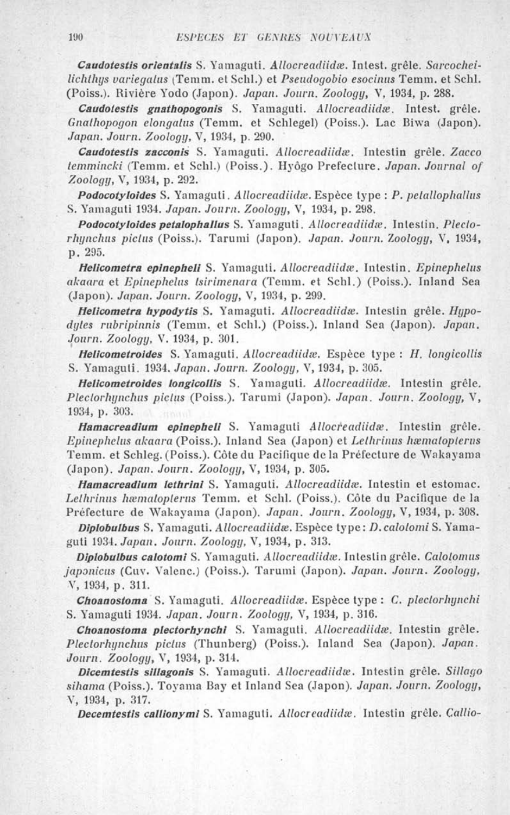*Caudotestis orientalis* S. Yamaguti. *Allocreadiidæ.* Intest. grêle. *Sarcocheilichthys variegatus* (Temm. et Schl.) et *Pseudogobio esocinus* Temm. et Schl. (Poiss.). Rivière Yodo (Japon). *Japan. Journ. Zoology,* V, 1934, p. 288.

*Caudotestis gnathopogonis* S. Yamaguti. *Allocreadiidæ.* Intest. grêle. *Gnathopogon elongatus* (Temm. et Schlegel) (Poiss.). Lac Biwa (Japon). *Japan. Journ. Zoology,* V, 1934, p. 290.

*Caudotestis zacconis* S. Yamaguti. *Allocreadiidæ.* Intestin grêle. *Zacco temmincki* (Temm. et Schl.) (Poiss.). Hyôgo Prefecture. *Japan. Journal of Zoology, V,* 1934, p. 292.

*Podocotyloides* S. Yamaguti. *Allocreadiidæ.* Espèce type : *P. pelallophallus* S. Yamaguti 1934. *Japan. Journ. Zoology,* V, 1934, p. 298.

*Podocotyloides petalophallus* S. Yamaguti. *Allocreadiidæ.* Intestin. *Plectorhynchus pictus* (Poiss.). Tarumi (Japon). *Japan. Journ. Zoology,* V, 1934, p. 295.

*Helicometra epinepheli* S. Yamaguti. *Allocreadiidæ.* Intestin. *Epinephelus akaara* et *Epinephelus tsirimenara* (Temm. et Schl.) (Poiss.). Inland Sea (Japon). *Japan. Journ. Zoology, Y,* 1934, p. 299.

*Helicometra hypodytis* S. Yamaguti. *Allocreadiidæ.* Intestin grêle. *Hypodytes rubripinnis* (Temm. et Schl.) (Poiss.). Inland Sea (Japon). *Japan. Journ. Zoology, V.* 1934, p. 301.

*Helicometroides* S. Yamaguti. *Allocreadiidæ.* Espèce type : H*. longicollis* S. Yamaguti. 1934. *Japan. Journ. Zoology, V,* 1934, p. 305.

*Helicometroides longicollis* S. Yamaguti. *Allocreadiidæ.* Intestin grêle. *Plectorhynchus pictus* (Poiss.). Tarumi (Japon). *Japan. Journ. Zoology, V,* 1934, p. 303.

*Hamacreadium epinepheli* S. Yamaguti *Allocreadiidæ.* Intestin grêle. *Epinephelus akaara* (Poiss.). Inland Sea (Japon) et *Lethrinus hæmatopterus* Temm. et Schleg. (Poiss.). Côte du Pacifique de la Préfecture de Wakayama (Japon). *Japan. Journ. Zoology, Y,* 1934, p. 305.

*Hamacreadium lethrini* S. Yamaguti. *Allocreadiidæ.* Intestin et estomac. *Lethrinus hæmatopterus* Temm. et Schl. (Poiss.). Côte du Pacifique de la Préfecture de Wakayama (Japon). *Japan. Journ. Zoology, V,* 1934, p. 308.

*Diplobulbus* S. Yamaguti. *Allocreadiidæ.* Espèce type : *D. calotomi* S. Yamaguti 1934. *Japan. Journ. Zoology, V,* 1934, p. 313.

*Diplobulbus calotomi* S. Yamaguti. *Allocreadiidæ.* Intestin grêle. *Calotomus japonicus* (Cuv. Valenc.) (Poiss.). Tarumi (Japon). *Japan. Journ. Zoology, V,* 1934, p. 311.

*Choanostoma* S. Yamaguti. *Allocreadiidæ.* Espèce type : *C. plectorhynchi* S. Yamaguti 1934. *Japan. Journ. Zoology, Y,* 1934, p. 316.

*Choanostoma plectorhynchi* S. Yamaguti. *Allocreadiidæ.* Intestin grêle. *Plectorhynchus pictus* (Thunberg) (Poiss.). Inland Sea (Japon). *Japan. Journ. Zoology, V,* 1934, p. 314.

*Dicemtestis sillagonis* S. Yamaguti. *Allocreadiidæ.* Intestin grêle. *Sillago sihama* (Poiss.). Toyama Bay et Inland Sea (Japon). *Japan. Journ. Zoology, V,* 1934, p. 317.

*Decemtestis callionymi* S. Yamaguti. *Allocreadiidæ.* Intestin grêle. *Callio-*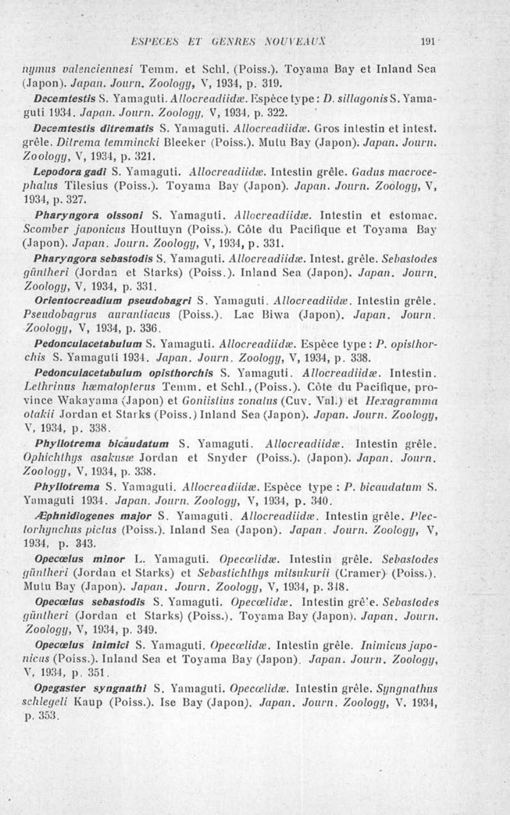*mimas valenciennesi* Temm. et Schl. (Poiss.). Toyama Bay et Inland Sea (Japon). *Japan. Journ. Zoology,* V, 1934, p. 319.

*Decemtestis* S. Yamaguti. *Allocreadüdæ.* Espèce type : *D. sillagonis* S. Yamaguti 1934. *Japan. Journ. Zoology,* V, 1934, p. 322.

*Decemtestis ditrematis* S. Yamaguti. *Allocreadiidæ.* Gros intestin et intest. grêle. *Ditrema temmincki* Bleeker (Poiss.). Mutu Bay (Japon). *Japan. Journ. Zoology,* V, 1934, p. 321.

*Lepodora gadi* S. Yamaguti. *Allocreadüdæ.* Intestin grêle. *Gadus macrocephalus* Tilesius (Poiss.). Toyama Bay (Japon). *Japan. Journ. Zoology,* V, 1934, p. 327.

*Pharyngora olssoni* S. Yamaguti. *Allocreadiidæ.* Intestin et estomac. *Scomber japonicus* Houttuyn (Poiss.). Côte du Pacifique et Toyama Bay (Japon). *Japan. Journ. Zoology,* V, 1934, p. 331.

*Pharyngora sebastodis* S. Yamaguti. *Allocreadiidæ.* Intest. grêle. *Sebastodes güntheri* (Jordan et Starks) (Poiss.). Inland Sea (Japon). *Japan. Journ, Zoology,* V, 1934, p. 331.

*Orientocreadium pseudobagri* S. Yamaguti. *Allocreadiidæ.* Intestin grêle. *Pseudobagrus aurantiacus* (Poiss.). Lac Biwa (Japon). *Japan. Journ. Zoology,* V, 1934, p. 336.

*Pedonculacetabulum* S. Yamaguti. *Allocreadiidæ.* Espèce type : *P. opisthorchis* S. Yamaguti 1934. *Japan. Journ. Zoology,* V, 1934, p. 338.

*Pedonculacetabulum opisthorchis* S. Yamaguti. *Allocreadiidæ.* Intestin. *Lethrinus hæmatopterus* Temm. et Schl., (Poiss.). Côte du Pacifique, province Wakayama (Japon) et *Goniistius zonalus* (Cuv. Val.) et *Hexagramma otakii* Jordan et Starks (Poiss.) Inland Sea (Japon). *Japan. Journ. Zoology,* V, 1934, p. 338.

*Phyllotrema bicaudatum* S. Yamaguti. *Allocreadiidæ.* Intestin grêle. *Ophichthys asakusæ* Jordan et Snyder (Poiss.). (Japon). *Japan. Journ. Zoology,* V, 1934, p. 338.

*Phyllotrema* S. Yamaguti. *Allocreadiidæ.* Espèce type : *P. bicaudalum* S. Yamaguti 1934. *Japan. Journ. Zoology,* V, 1934, p. 340.

*Æphnidiogenes major* S. Yamaguti. *Allocreadiidæ.* Intestin grêle. *Plectorhynchus pictus* (Poiss.). Inland Sea (Japon). *Japan. Journ. Zoology,* V, 1934, p. 343.

*Opecœlus minor L.* Yamaguti. *Opecœlidæ.* Intestin grêle. *Sebastodes güntheri* (Jordan et Starks) et *Sebastichthys mitsukurii* (Cramer) (Poiss.). Mutu Bay (Japon). *Japan. Journ. Zoology,* V, 1934, p. 318.

*Opecœlus sebastodis* S. Yamaguti. *Opecœlidæ.* Intestin grêle. *Sebastodes güntheri* (Jordan et Starks) (Poiss.). Toyama Bay (Japon). *Japan. Journ. Zoology,* V, 1934, p. 349.

*Opecœlus inimici* S. Yamaguti. *Opecœlidæ.* Intestin grêle. *Inimicus japonicus* (Poiss.). Inland Sea et Toyama Bay (Japon). *Japan. Journ. Zoology,* V, 1934, p. 351.

*Opegaster syngnathi* S. Yamaguti. *Opecœlidæ.* Intestin grêle. *Syngnathus schlegeli* Kaup (Poiss.). Ise Bay (Japon). *Japan. Journ. Zoology,* V. 1934, p. 353.